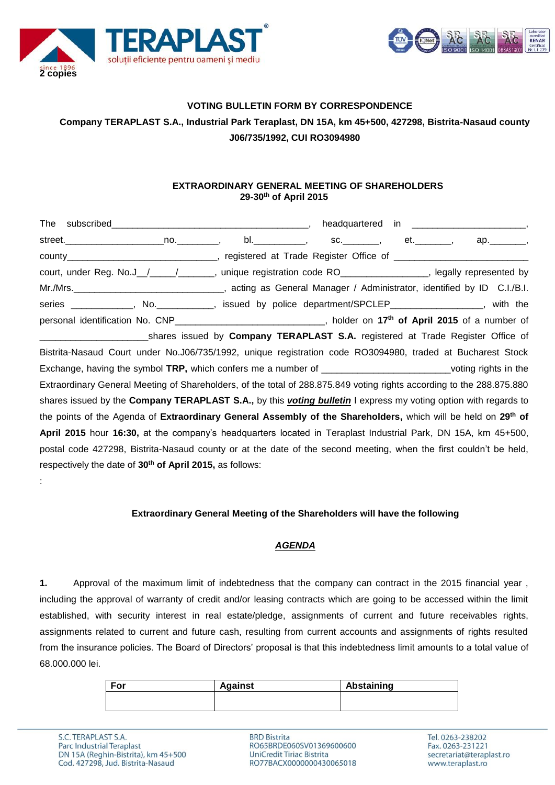



# **VOTING BULLETIN FORM BY CORRESPONDENCE Company TERAPLAST S.A., Industrial Park Teraplast, DN 15A, km 45+500, 427298, Bistrita-Nasaud county J06/735/1992, CUI RO3094980**

### **EXTRAORDINARY GENERAL MEETING OF SHAREHOLDERS 29-30th of April 2015**

|                                                                                                                           | headquartered                                 |              |
|---------------------------------------------------------------------------------------------------------------------------|-----------------------------------------------|--------------|
|                                                                                                                           | bl._____________, sc._________, et._________, | ар.________, |
| county__________________________________, registered at Trade Register Office of _____________________________            |                                               |              |
| court, under Reg. No.J_/____/______, unique registration code RO_______________, legally represented by                   |                                               |              |
| Mr./Mrs. <b>_______________________________</b> , acting as General Manager / Administrator, identified by ID C.I./B.I.   |                                               |              |
| series ____________, No. __________, issued by police department/SPCLEP________________, with the                         |                                               |              |
| personal identification No. CNP________________________________, holder on 17 <sup>th</sup> of April 2015 of a number of  |                                               |              |
| ___________________________shares issued by Company TERAPLAST S.A. registered at Trade Register Office of                 |                                               |              |
| Bistrita-Nasaud Court under No.J06/735/1992, unique registration code RO3094980, traded at Bucharest Stock                |                                               |              |
| Exchange, having the symbol TRP, which confers me a number of _____________________________voting rights in the           |                                               |              |
| Extraordinary General Meeting of Shareholders, of the total of 288.875.849 voting rights according to the 288.875.880     |                                               |              |
| shares issued by the Company TERAPLAST S.A., by this <i>voting bulletin</i> I express my voting option with regards to    |                                               |              |
| the points of the Agenda of Extraordinary General Assembly of the Shareholders, which will be held on 29 <sup>th</sup> of |                                               |              |
| April 2015 hour 16:30, at the company's headquarters located in Teraplast Industrial Park, DN 15A, km 45+500,             |                                               |              |
| postal code 427298, Bistrita-Nasaud county or at the date of the second meeting, when the first couldn't be held,         |                                               |              |
| respectively the date of 30 <sup>th</sup> of April 2015, as follows:                                                      |                                               |              |

#### **Extraordinary General Meeting of the Shareholders will have the following**

#### *AGENDA*

**1.** Approval of the maximum limit of indebtedness that the company can contract in the 2015 financial year , including the approval of warranty of credit and/or leasing contracts which are going to be accessed within the limit established, with security interest in real estate/pledge, assignments of current and future receivables rights, assignments related to current and future cash, resulting from current accounts and assignments of rights resulted from the insurance policies. The Board of Directors' proposal is that this indebtedness limit amounts to a total value of 68.000.000 lei.

| For | <b>Against</b> | Abstaining |
|-----|----------------|------------|
|     |                |            |
|     |                |            |

:

**BRD Bistrita** RO65BRDE060SV01369600600 UniCredit Tiriac Bistrita RO77BACX0000000430065018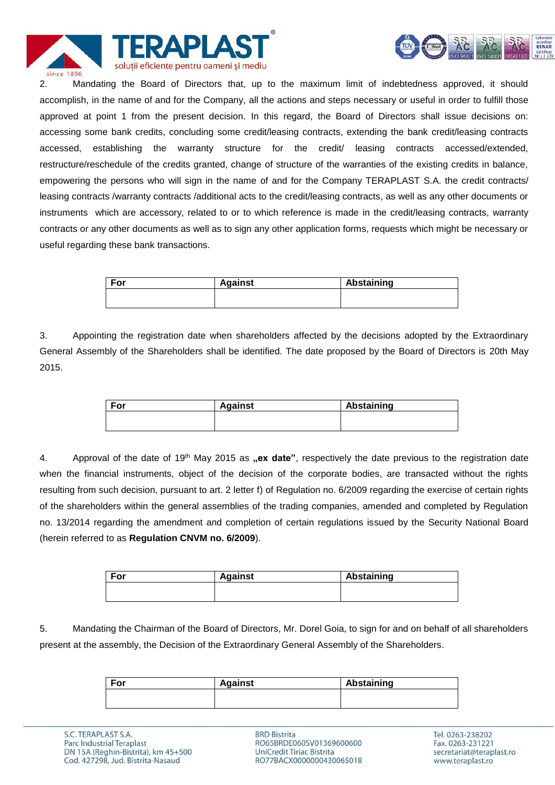



2. Mandating the Board of Directors that, up to the maximum limit of indebtedness approved, it should accomplish, in the name of and for the Company, all the actions and steps necessary or useful in order to fulfill those approved at point 1 from the present decision. In this regard, the Board of Directors shall issue decisions on: accessing some bank credits, concluding some credit/leasing contracts, extending the bank credit/leasing contracts accessed, establishing the warranty structure for the credit/ leasing contracts accessed/extended, restructure/reschedule of the credits granted, change of structure of the warranties of the existing credits in balance, empowering the persons who will sign in the name of and for the Company TERAPLAST S.A. the credit contracts/ leasing contracts /warranty contracts /additional acts to the credit/leasing contracts, as well as any other documents or instruments which are accessory, related to or to which reference is made in the credit/leasing contracts, warranty contracts or any other documents as well as to sign any other application forms, requests which might be necessary or useful regarding these bank transactions.

| <b>Against</b> | Abstaining |
|----------------|------------|
|                |            |
|                |            |

3. Appointing the registration date when shareholders affected by the decisions adopted by the Extraordinary General Assembly of the Shareholders shall be identified. The date proposed by the Board of Directors is 20th May 2015.

| For | <b>Against</b> | Abstaining |
|-----|----------------|------------|
|     |                |            |
|     |                |            |

4. Approval of the date of 19<sup>th</sup> May 2015 as **"ex date**", respectively the date previous to the registration date when the financial instruments, object of the decision of the corporate bodies, are transacted without the rights resulting from such decision, pursuant to art. 2 letter f) of Regulation no. 6/2009 regarding the exercise of certain rights of the shareholders within the general assemblies of the trading companies, amended and completed by Regulation no. 13/2014 regarding the amendment and completion of certain regulations issued by the Security National Board (herein referred to as **Regulation CNVM no. 6/2009**).

| For | <b>Against</b> | <b>Abstaining</b> |
|-----|----------------|-------------------|
|     |                |                   |
|     |                |                   |

5. Mandating the Chairman of the Board of Directors, Mr. Dorel Goia, to sign for and on behalf of all shareholders present at the assembly, the Decision of the Extraordinary General Assembly of the Shareholders.

| For | <b>Against</b> | Abstaining |
|-----|----------------|------------|
|     |                |            |
|     |                |            |

**BRD Bistrita** RO65BRDE060SV01369600600 UniCredit Tiriac Bistrita RO77BACX0000000430065018